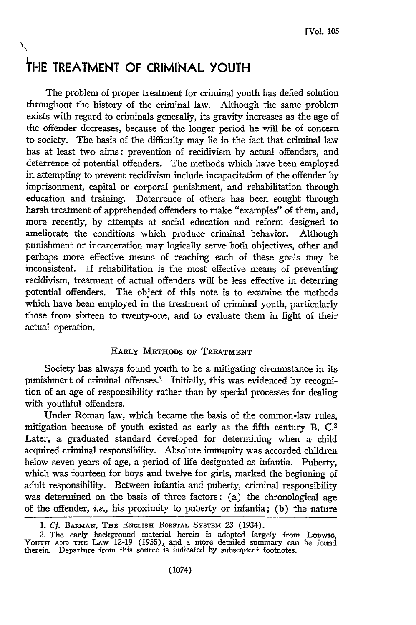# **I THE TREATMENT OF CRIMINAL YOUTH**

The problem of proper treatment for criminal youth has defied solution throughout the history of the criminal law. Although the same problem exists with regard to criminals generally, its gravity increases as the age of the offender decreases, because of the longer period he will be of concern to society. The basis of the difficulty may lie in the fact that criminal law has at least two aims: prevention of recidivism by actual offenders, and deterrence of potential offenders. The methods which have been employed in attempting to prevent recidivism include incapacitation of the offender by imprisonment, capital or corporal punishment, and rehabilitation through education and training. Deterrence of others has been sought through harsh treatment of apprehended offenders to make "examples" of them, and, more recently, by attempts at social education and reform designed to ameliorate the conditions which produce criminal behavior. Although punishment or incarceration may logically serve both objectives, other and perhaps more effective means of reaching each of these goals may be inconsistent. If rehabilitation is the most effective means of preventing recidivism, treatment of actual offenders will be less effective in deterring potential offenders. The object of this note is to examine the methods which have been employed in the treatment of criminal youth, particularly those from sixteen to twenty-one, and to evaluate them in light of their actual operation.

## EARLY METHODS Op TREATMENT

Society has always found youth to be a mitigating circumstance in its punishment of criminal offenses.' Initially, this was evidenced by recognition of an age of responsibility rather than by special processes for dealing with youthful offenders.

Under Roman law, which became the basis of the common-law rules, mitigation because of youth existed as early as the fifth century B. C.2 Later, a graduated standard developed for determining when a child acquired criminal responsibility. Absolute immunity was accorded children below seven years of age, a period of life designated as infantia. Puberty, which was fourteen for boys and twelve for girls, marked the beginning of adult responsibility. Between infantia and puberty, criminal responsibility was determined on the basis of three factors: (a) the chronological age of the offender, *i.e.,* his proximity to puberty or infantia; (b) the nature

*<sup>1.</sup> Cf.* BARmAN, **THE ENGLISH** BORSTAL SYSTEm 23 (1934).

<sup>2.</sup> The early background material herein is adopted largely from Lunwig<br>YouTH AND THE LAW 12-19 (1955), and a more detailed summary can be found<br>therein. Departure from this source is indicated by subsequent footnotes.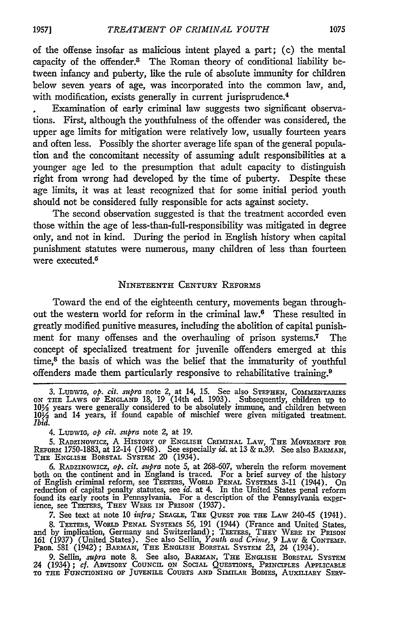of the offense insofar as malicious intent played a part; (c) the mental capacity of the offender.5 The Roman theory of conditional liability between infancy and puberty, like the rule of absolute immunity for children below seven years of age, was incorporated into the common law, and, with modification, exists generally in current jurisprudence.<sup>4</sup>

Examination of early criminal law suggests two significant observations. First, although the youthfulness of the offender was considered, the upper age limits for mitigation were relatively low, usually fourteen years and often less. Possibly the shorter average life span of the general population and the concomitant necessity of assuming adult responsibilities at a younger age led to the presumption that adult capacity to distinguish right from wrong had developed by the time of puberty. Despite these age limits, it was at least recognized that for some initial period youth should not be considered fully responsible for acts against society.

The second observation suggested is that the treatment accorded even those within the age of less-than-full-responsibility was mitigated in degree only, and not in kind. During the period in English history when capital punishment statutes were numerous, many children of less than fourteen were executed.<sup>5</sup>

# **NINETEENTH CENTURY REFORmS**

Toward the end of the eighteenth century, movements began throughout the western world for reform in the criminal law.6 These resulted in greatly modified punitive measures, including the abolition of capital punishment for many offenses and the overhauling of prison systems.7 The concept of specialized treatment for juvenile offenders emerged at this time, $<sup>8</sup>$  the basis of which was the belief that the immaturity of youthful</sup> offenders made them particularly responsive to rehabilitative training. <sup>9</sup>

7. See text at note 10 *infra;* **SEAGLE, THE QUEST** FOR **THE** LAW 240-45 (1941).

8. TEETERs, WoRLD **PENAL** SYSTEMS 56, 191 (1944) (France and United States, and by implication, Germany and Switzerland); TEETERS, THEY WERE IN PRISON 161 (1937) (United States). See also Sellin, *Youth and Crime,* 9 LAw & **CONTEMP.** PROB. 581 (1942); BARMAN, **THE ENGLISH** BORSTAL SYSTEM 23, 24 (1934).

9. Sellin, *supra* note 8. See also, BARMAN, THE ENGLISH BORSTAL SYSTEM<br>24 (1934); cf. ADVISORY COUNCIL ON SOCIAL QUESTIONS, PRINCIPLES APPLICABLE<br>TO THE FUNCTIONING OF JUVENILE COURTS AND SIMILAR BODIES, AUXILIARY SERV-

<sup>3.</sup> *LunwiG, op. cit. supra* note *2,* at 14, **15.** See also **STEPHEN,** COMMENTARIES **ON TEE** LAws OF **ENGLAND** 18, 19 (14th ed. 1903). Subsequently, children up to **1032** years were generally considered to be absolutely immune, and children between **103/** and 14 years, if found capable of mischief were given mitigated treatment. *Ibid.*

*<sup>4.</sup>* **LunwIG,** *op cit. supra* note 2, at 19.

<sup>5.</sup> RADzINoWIcz, A HISTORY **OF ENGLISH CRIMINAL** LAW, **THE MOVEMENT** FOR **REFoRm** 1750-1883, at 12-14 (1948). See especially *id.* at 13 & n.39. See also BAMN, **THE ENGLISH BORSTAL SYSTEM** 20 (1934).

<sup>6.</sup> RADZINowIcz, *op. cit. supra* note 5, at 268-607, wherein the reform movement both on the continent and in England is traced. For a brief survey of the history<br>of English criminal reform, see TEETERS, WORLD PENAL SYSTEMS 3-11 (1944). On<br>reduction of capital penalty statutes, see *id*. at 4. In the U found its early roots in Pennsylvania. For a description of the Pennsylvania exper-ience, see TEETERS, **THEY** WERE **IN** PRISON (1937).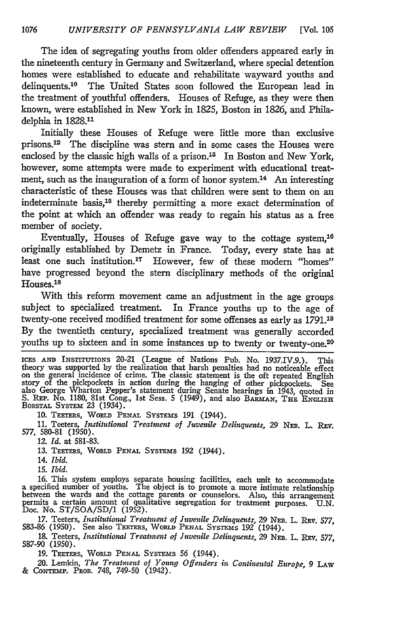The idea of segregating youths from older offenders appeared early in the nineteenth century in Germany and Switzerland, where special detention homes were established to educate and rehabilitate wayward youths and delinquents.10 The United States soon followed the European lead in the treatment of youthful offenders. Houses of Refuge, as they were then known, were established in New York in 1825, Boston in 1826, and Philadelphia in 1828.11

Initially these Houses of Refuge were little more than exclusive prisons.'2 The discipline was stern and in some cases the Houses were enclosed by the classic high walls of a prison.<sup>13</sup> In Boston and New York, however, some attempts were made to experiment with educational treatment, such as the inauguration of a form of honor system.<sup>14</sup> An interesting characteristic of these Houses was that children were sent to them on an indeterminate basis,15 thereby permitting a more exact determination of the point at which an offender was ready to regain his status as a free member of society.

Eventually, Houses of Refuge gave way to the cottage system, <sup>16</sup> originally established by Demetz in France. Today, every state has at least one such institution.<sup>17</sup> However, few of these modern "homes" have progressed beyond the stern disciplinary methods of the original Houses.<sup>18</sup>

With this reform movement came an adjustment in the age groups subject to specialized treatment. In France youths up to the age of twenty-one received modified treatment for some offenses as early as 1791.19 By the twentieth century, specialized treatment was generally accorded youths up to sixteen and in some instances up to twenty or twenty-one.20

**ICES AND** INSTITUTIONS 20-21 (League of Nations Pub. No. 1937.IV.9.). This theory was supported by the realization that harsh penalties had no noticeable effect on the general incidence of crime. The classic statement is the oft repeated English story of the pickpockets in action during the hanging of other pickpockets. See<br>also George Wharton Pepper's statement during Senate hearings in 1943, quoted in<br>S. REP. No. 1180, 81st Cong., 1st Sess. 5 (1949), and also BA

10. TEETERS, WORLD PENAL SYSTEMS 191 (1944).

**11.** Teeters, *Institutional Treatment of Juvenile Delinquents,* 29 **NEB.** L. REV. *577,* 580-81 (1950).

*12. Id.* at 581-83.

**13. TEETERS, WoRLD PENAL** SYSTEMS **192** (1944).

14. *Ibid.*

15. *Ibid.*

16. This system employs separate housing facilities, each unit to accommodate<br>a specified number of youths. The object is to promote a more intimate relationship<br>between the wards and the cottage parents or counselors. Als

17. Teeters, *Institutional Treatment of Juvenile Delinquents,* 29 NEB. L. REv. 577, 583-86 (1950). See also TEEm'rs, **WoRLD PENAL SYSTEMS 192** (1944).

18. Teeters, *Institutional Treatment of Juvenile Delinquents,* 29 **NEB.** L. **REv.** 577, 587-90 (1950).

19. TEmRs, **WoRLD PENAL SYSTEMS** 56 (1944).

20. Lemkin, *The Treatment of Young Offenders in Continental Europe*, 9 LAW<br>& CONTEMP. PROB. 748, 749-50 (1942).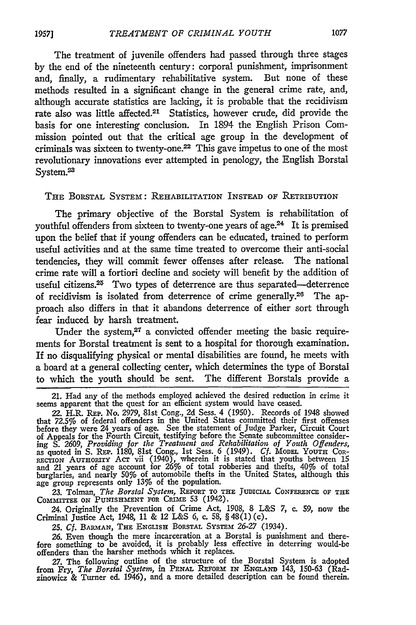The treatment of juvenile offenders had passed through three stages by the end of the nineteenth century: corporal punishment, imprisonment and, finally, a rudimentary rehabilitative system. But none of these methods resulted in a significant change in the general crime rate, and, although accurate statistics are lacking, it is probable that the recidivism rate also was little affected.<sup>21</sup> Statistics, however crude, did provide the basis for one interesting conclusion. In 1894 the English Prison Commission pointed out that the critical age group in the development of criminals was sixteen to twenty-one.22 This gave impetus to one of the most revolutionary innovations ever attempted in penology, the English Borstal System.<sup>23</sup>

#### THE BORSTAL SYSTEM: REHABILITATION INSTEAD **OF RETRIBUTION**

The primary objective of the Borstal System is rehabilitation of youthful offenders from sixteen to twenty-one years of age.<sup>24</sup> It is premised upon the belief that if young offenders can be educated, trained to perform useful activities and at the same time treated to overcome their anti-social tendencies, they will commit fewer offenses after release. The national crime rate will a fortiori decline and society will benefit by the addition of useful citizens.<sup>25</sup> Two types of deterrence are thus separated-deterrence of recidivism is isolated from deterrence of crime generally.<sup>26</sup> The approach also differs in that it abandons deterrence of either sort through fear induced by harsh treatment.

Under the system, $27$  a convicted offender meeting the basic requirements for Borstal treatment is sent to a hospital for thorough examination. If no disqualifying physical or mental disabilities are found, he meets with a board at a general collecting center, which determines the type of Borstal to which the youth should be sent. The different Borstals provide a

**23.** Tolman, *The Borstal System,* REPORT **TO THE** JUDICIAL **CONFERENCE** OF **THE COMMITTEE ON** PUNISHMENT **FOR** CRIME 53 (1942).

24. Originally the Prevention of Crime Act, 1908, 8 L&S 7, c. 59, now the Criminal Justice Act, 1948, 11 & 12 L&S 6, c. 58, § 48(1) (c).

25. *Cf. BARMAN*, THE ENGLISH BORSTAL SYSTEM 26-27 (1934).

26. Even though the mere incarceration at a Borstal is punishment and therefore something to be avoided, it is probably less effective in deterring would-be offenders than the harsher methods which it replaces.

27. The following outline of the structure of the Borstal System is adopted from Fry, The Borstal System, in PENAL REFORM IN ENGLAND 143, 150-63 (Rad-zinowicz & Turner ed. 1946), and a more detailed description can be foun

**1957]**

<sup>21.</sup> Had any of the methods employed achieved the desired reduction in crime it seems apparent that the quest for an efficient system would have ceased.

<sup>22.</sup> H.R. **REP.** No. 2979, 81st Cong., 2d Sess. 4 (1950). Records of 1948 showed that 72.5% of federal offenders in the United States committed their first offenses before they were 24 years of age. See the statement of Judge Parker, Circuit Court<br>of Appeals for the Fourth Circuit, testifying before the Senate subcommittee consider-<br>ing S. 2609, *Providing for the Treatment and Rehabi* burglaries, and nearly 50% of automobile thefts in the United States, although this age group represents only 13% of the population.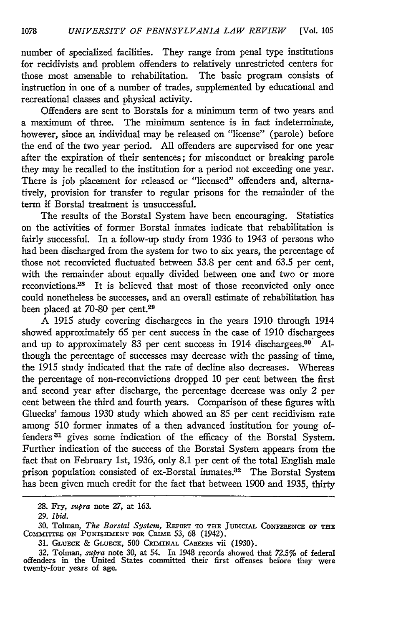number of specialized facilities. They range from penal type institutions for recidivists and problem offenders to relatively unrestricted centers for those most amenable to rehabilitation. The basic program consists of instruction in one of a number of trades, supplemented by educational and recreational classes and physical activity.

Offenders are sent to Borstals for a minimum term of two years and a maximum of three. The minimum sentence is in fact indeterminate, however, since an individual may be released on "license" (parole) before the end of the two year period. All offenders are supervised for one year after the expiration of their sentences; for misconduct or breaking parole they may be recalled to the institution for a period not exceeding one year. There is job placement for released or "licensed" offenders and, alternatively, provision for transfer to regular prisons for the remainder of the term if Borstal treatment is unsuccessful.

The results of the Borstal System have been encouraging. Statistics on the activities of former Borstal inmates indicate that rehabilitation is fairly successful. In a follow-up study from 1936 to 1943 of persons who had been discharged from the system for two to six years, the percentage of those not reconvicted fluctuated between 53.8 per cent and 63.5 per cent, with the remainder about equally divided between one and two or more reconvictions.<sup>28</sup> It is believed that most of those reconvicted only once could nonetheless be successes, and an overall estimate of rehabilitation has been placed at 70-80 per cent.29

A 1915 study covering dischargees in the years 1910 through 1914 showed approximately 65 per cent success in the case of 1910 dischargees and up to approximately 83 per cent success in 1914 dischargees. $80^\circ$  Although the percentage of successes may decrease with the passing of time, the 1915 study indicated that the rate of decline also decreases. Whereas the percentage of non-reconvictions dropped 10 per cent between the first and second year after discharge, the percentage decrease was only *2* per cent between the third and fourth years. Comparison of these figures with Gluecks' famous 1930 study which showed an 85 per cent recidivism rate among 510 former inmates of a then advanced institution for young offenders<sup>31</sup> gives some indication of the efficacy of the Borstal System. Further indication of the success of the Borstal System appears from the fact that on February 1st, 1936, only 8.1 per cent of the total English male prison population consisted of ex-Borstal inmates.32 The Borstal System has been given much credit for the fact that between 1900 and 1935, thirty

**<sup>28.</sup>** Fry, *supra* note 27, at **163.**

<sup>29.</sup> *ibid.*

<sup>30.</sup> Tolman, *The Borstal System*, REPORT TO THE JUDICIAL CONFERENCE OF THE COMMITTEE ON PUNISHMENT FOR CRIME 53, 68 (1942).

<sup>31.</sup> **GLUE K** & GLUECK, 500 CRIMINAL CAREERS vii (1930).

<sup>32.</sup> Tolman, *supra* note 30, at 54. In 1948 records showed that 72.5% of federal offenders in the United States committed their first offenses before they were twenty-four years of age.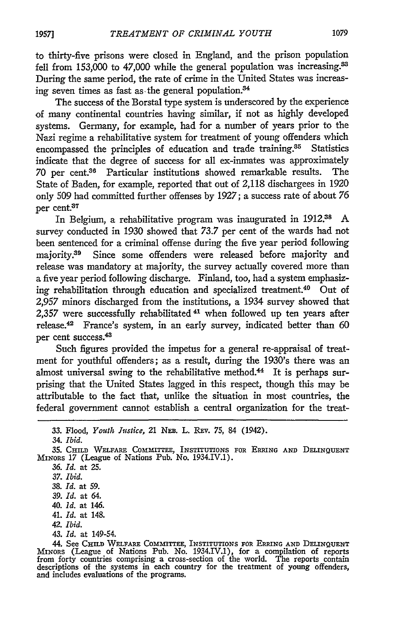to thirty-five prisons were closed in England, and the prison population fell from 153,000 to 47,000 while the general population was increasing.<sup>83</sup> During the same period, the rate of crime in the United States was increasing seven times as fast as the general population. $34$ 

The success of the Borstal type system is underscored **by** the experience of many continental countries having similar, if not as **highly** developed systems. Germany, for example, had for a number of years prior to the Nazi regime a rehabilitative system for treatment of young offenders which encompassed the principles of education and trade training.<sup>35</sup> Statistics indicate that the degree of success for all ex-inmates was approximately 70 per cent.<sup>36</sup> Particular institutions showed remarkable results. The State of Baden, for example, reported that out of 2,118 dischargees in **1920** only **509** had committed further offenses **by 1927;** a success rate of about **76** per cent.37

In Belgium, a rehabilitative program was inaugurated in 1912.ss **A** survey conducted in **1930** showed that **73.7** per cent of the wards had not been sentenced for a criminal offense during the five year period following majority.<sup>39</sup> Since some offenders were released before majority and release was mandatory at majority, the survey actually covered more than a five year period following discharge. Finland, too, had a system emphasizing rehabilitation through education and specialized treatment.40 Out of **2,957** minors discharged from the institutions, a 1934 survey showed that **2,357** were successfully **rehabilitated** 41 when followed up ten years after release.<sup>42</sup> France's system, in an early survey, indicated better than 60 per cent success.<sup>43</sup>

Such figures provided the impetus for a general re-appraisal of treatment for youthful offenders; as a result, during the 1930's there was an almost universal swing to the rehabilitative method.<sup>44</sup> It is perhaps surprising that the United States lagged in this respect, though this may be attributable to the fact that, unlike the situation in most countries, the federal government cannot establish a central organization for the treat-

*36. Id.* at **25.** *37. Ibid.*

- 38. *Id.* at *59.*
- *39. Id.* at *64.*
- 40. *Id.* at 146.
- 41. *Id.* at 148.
- *42. Ibid.*
- 43. *Id.* at 149-54.

44. See CHILD WELFARE COMMITTEE, INSTITUTIONS FOR ERRING AND DELINQUENT<br>MINORS (League of Nations Pub. No. 1934.IV.1), for a compilation of reports<br>from forty countries comprising a cross-section of the world. The reports descriptions of the systems in each country for the treatment of young offenders and includes evaluations of the programs.

**<sup>33.</sup>** Flood, *Youth Justice,* 21 *NEE.* L. REv. **75,** 84 (1942).

<sup>34.</sup> *Ibid.*

<sup>35.</sup> CHILD WELFARE COMMITTEE, IN sTITUTIONS FOR **ERRING AND** DELINQUENT MINORS 17 (League of Nations Pub. No. 1934.IV.1).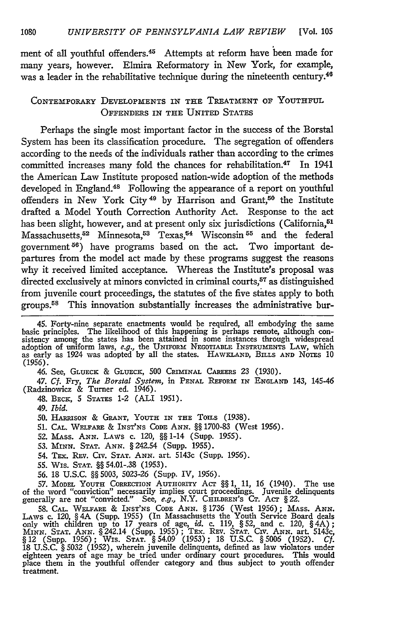ment of all youthful offenders.<sup>45</sup> Attempts at reform have been made for many years, however. Elmira Reformatory in New York, for example, was a leader in the rehabilitative technique during the nineteenth century.<sup>46</sup>

## CONTEMPORARY DEVELOPMENTS IN THE TREATMENT OF YOUTHFUL OFFENDERS IN THE UNITED STATES

Perhaps the single most important factor in the success of the Borstal System has been its classification procedure. The segregation of offenders according to the needs of the individuals rather than according to the crimes committed increases many fold the chances for rehabilitation.<sup>47</sup> In 1941 the American Law Institute proposed nation-wide adoption of the methods developed in England.<sup>48</sup> Following the appearance of a report on youthful offenders in New York City<sup>49</sup> by Harrison and Grant,<sup>50</sup> the Institute drafted a Model Youth Correction Authority Act. Response to the act has been slight, however, and at present only six jurisdictions (California,<sup>51</sup> Massachusetts,<sup>52</sup> Minnesota,<sup>53</sup> Texas,<sup>54</sup> Wisconsin<sup>55</sup> and the federal government **56)** have programs based on the act. Two important departures from the model act made by these programs suggest the reasons why it received limited acceptance. Whereas the Institute's proposal was directed exclusively at minors convicted in criminal courts,<sup>57</sup> as distinguished from juvenile court proceedings, the statutes of the five states apply to both groups.58 This innovation substantially increases the administrative bur-

*47. Cf.* Fry, *The Borstal System,* in **PENAL** REFORM IN **ENGLAND** 143, 145-46 (Radzinowicz & Turner ed. 1946).

48. BECK, 5 STATES 1-2 (ALI 1951).

*49. Ibid.*

**51. CAL.** WELFARE & INST'NS CODE **ANN.** §§ 1700-83 (West **1956).**

- 52. MAss. **ANN.** LAWS c. 120, §§ 1-14 (Supp. 1955).
- 53. **MINN. STAT. ANN.** § 242.54 (Supp. 1955).
- 54. TEX. **REV.** Civ. **STAT. ANN.** art. 5143c (Supp. 1956).
- 55. Wis. **STAT.** §§ 54.01-.38 (1953).

56. 18 U.S.C. §§ 5003, 5023-26 (Supp. IV, 1956).

57. **MODEL YOUTH** CORRECTION AUTHORITY ACT §§ 1, *11,* 16 (1940). The use of the word "conviction" necessarily implies court proceedings. Juvenile delinquents generally are not "convicted." See, *e.g.,* N.Y. CHILDREN'S **CT.** ACT § 22.

58. CAL. WELFARE & INST'NS CODE ANN. § 1736 (West 1956); MASS. ANN. LAWS c. 120, § 4A (Supp. 1955) (In Massachusetts the Youth Service Board deals only with children up to 17 years of age, id. c. 119, § 52, and c. 120, § 4 §12 (Supp. 1956); WIS. **STAT.** § 54.09 (1953); 18 U.S.C. §5006 (1952). *Cf.* 18 U.S.C. § 5032 (1952), wherein juvenile delinquents, defined as law violators under eighteen years of age may be tried under ordinary court procedures. This would place them in the youthful offender category and thus subject to youth offender <u>.</u><br>treatment.

<sup>45.</sup> Forty-nine separate enactments would be required, all embodying the same<br>basic principles. The likelihood of this happening is perhaps remote, although con-<br>sistency among the states has been attained in some instances adoption of uniform laws, e.g., the UNIFORm NEGOTIABLE INSTRUMENTS **LAW,** which as early as 1924 was adopted **by** all the states. HAWKLAND, BILLS **AND** NOTES 10 (1956).

<sup>46.</sup> See, **GLUEcK** & **GLUTECH,** 500 CRIMINAL CAREERS 23 (1930).

<sup>50.</sup> HARRISON & GRANT, **YOUTH** IN THE Tomzs (1938).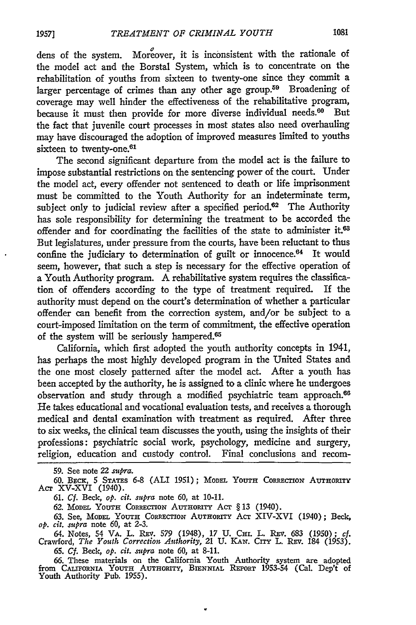dens of the system. Moreover, it is inconsistent with the rationale of the model act and the Borstal System, which is to concentrate on the rehabilitation of youths from sixteen to twenty-one since they commit a larger percentage of crimes than any other age group.<sup>59</sup> Broadening of coverage may well hinder the effectiveness of the rehabilitative program, because it must then provide for more diverse individual needs.<sup>60</sup> But the fact that juvenile court processes in most states also need overhauling may have discouraged the adoption of improved measures limited to youths sixteen to twenty-one.<sup>61</sup>

The second significant departure from the model act is the failure to impose substantial restrictions on the sentencing power of the court. Under the model act, every offender not sentenced to death or life imprisonment must be committed to the Youth Authority for an indeterminate term, subject only to judicial review after a specified period. $62$  The Authority has sole responsibility for determining the treatment to be accorded the offender and for coordinating the facilities of the state to administer it.<sup>63</sup> But legislatures, under pressure from the courts, have been reluctant to thus confine the judiciary to determination of guilt or innocence. $64$  It would seem, however, that such a step is necessary for the effective operation of a Youth Authority program. A rehabilitative system requires the classification of offenders according to the type of treatment required. If the authority must depend on the court's determination of whether a particular offender can benefit from the correction system, and/or be subject to a court-imposed limitation on the term of commitment, the effective operation of the system will be seriously hampered.<sup>65</sup>

California, which first adopted the youth authority concepts in 1941, has perhaps the most highly developed program in the United States and the one most closely patterned after the model act. After a youth has been accepted **by** the authority, he is assigned to a clinic where he undergoes observation and study through a modified psychiatric team approach.<sup>66</sup> He takes educational and vocational evaluation tests, and receives a thorough medical and dental examination with treatment as required. After three to six weeks, the clinical team discusses the youth, using the insights of their professions: psychiatric social work, psychology, medicine and surgery, religion, education and custody control. Final conclusions and recom-

59. See note 22 *sumpra.*

60. BECK, 5 STATES 6-8 (ALI 1951); MODEL YOUTH CORRECTION AUTHORITY<br>Acr XV-XVI (1940).

61. *Cf. Beck, op. cit. supra* note 60, at 10-11.

62. MODEL YOUTH CORRECTION AUTHORITY ACT § 13 (1940).

**63.** See, **MODEL YOUTH ComEcTioN AUTHORiTY** AcT XIV-XVI (1940); Beck, *op. cit. supra* note 60, at 2-3.

64. Notes, 54 VA. L. REv. 579 (1948), 17 U. **CH.** L. **REV.** 683 (1950); *cf.* Crawford, *The Youth Correction Authority,* 21 U. KAN. CITY L. **REV.** 184 (1953). 65. *Cf.* Beck, *op. cit. supra* note 60, at 8-11.

*66.* These materials on the California Youth Authority system are adopted from **CAXnm'oRNIA YOUTH AUTHoRrrY, BIENNIAL REPORT** 1953-54 (Cal. Dep't of Youth Authority Pub. 1955).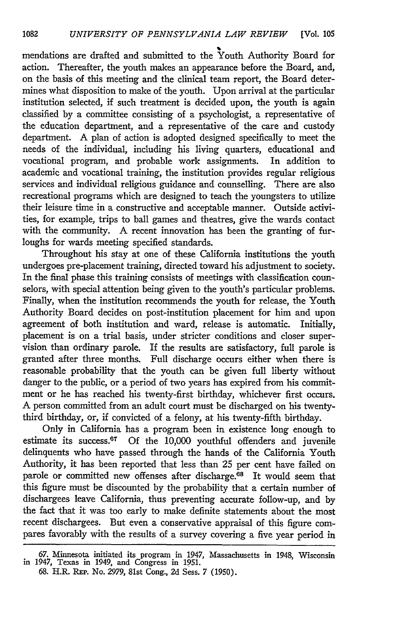mendations are drafted and submitted to the Youth Authority Board for action. Thereafter, the youth makes an appearance before the Board, and, on the basis of this meeting and the clinical team report, the Board determines what disposition to make of the youth. Upon arrival at the particular institution selected, if such treatment is decided upon, the youth is again classified by a committee consisting of a psychologist, a representative of the education department, and a representative of the care and custody department. A plan of action is adopted designed specifically to meet the needs of the individual, including his living quarters, educational and vocational program, and probable work assignments. In addition to academic and vocational training, the institution provides regular religious services and individual religious guidance and counselling. There are also recreational programs which are designed to teach the youngsters to utilize their leisure time in a constructive and acceptable manner. Outside activities, for example, trips to ball games and theatres, give the wards contact with the community. A recent innovation has been the granting of furloughs for wards meeting specified standards.

Throughout his stay at one of these California institutions the youth undergoes pre-placement training, directed toward his adjustment to society. In the final phase this training consists of meetings with classification counselors, with special attention being given to the youth's particular problems. Finally, when the institution recommends the youth for release, the Youth Authority Board decides on post-institution placement for him and upon agreement of both institution and ward, release is automatic. Initially, placement is on a trial basis, under stricter conditions and closer supervision than ordinary parole. If the results are satisfactory, full parole is granted after three months. Full discharge occurs either when there is reasonable probability that the youth can be given full liberty without danger to the public, or a period of two years has expired from his commitment or he has reached his twenty-first birthday, whichever first occurs. A person committed from an adult court must be discharged on his twentythird birthday, or, if convicted of a felony, at his twenty-fifth birthday.

Only in California has a program been in existence long enough to estimate its success.<sup>67</sup> Of the 10,000 youthful offenders and juvenile delinquents who have passed through the hands of the California Youth Authority, it has been reported that less than 25 per cent have failed on parole or committed new offenses after discharge.<sup>68</sup> It would seem that this figure must be discounted by the probability that a certain number of dischargees leave California, thus preventing accurate follow-up, and by the fact that it was too early to make definite statements about the most recent dischargees. But even a conservative appraisal of this figure compares favorably with the results of a survey covering a five year period in

<sup>67.</sup> Minnesota initiated its program in 1947, Massachusetts in 1948, Wisconsin in 1947, Texas in 1949, and Congress in 1951.

<sup>68.</sup> H.R. REP. No. 2979, 81st Cong., *2d* Sess. 7 (1950).